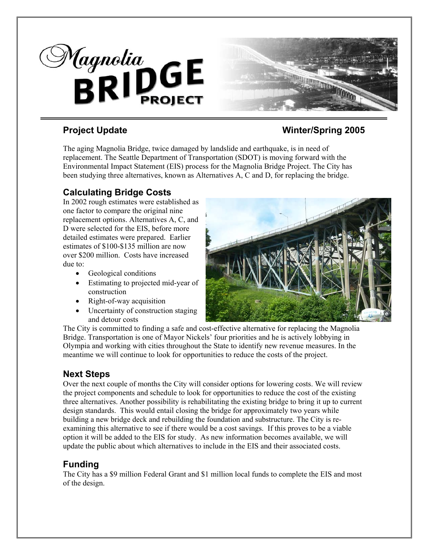



## **Project Update Winter/Spring 2005**

The aging Magnolia Bridge, twice damaged by landslide and earthquake, is in need of replacement. The Seattle Department of Transportation (SDOT) is moving forward with the Environmental Impact Statement (EIS) process for the Magnolia Bridge Project. The City has been studying three alternatives, known as Alternatives A, C and D, for replacing the bridge.

# **Calculating Bridge Costs**

In 2002 rough estimates were established as one factor to compare the original nine replacement options. Alternatives A, C, and D were selected for the EIS, before more detailed estimates were prepared. Earlier estimates of \$100-\$135 million are now over \$200 million. Costs have increased due to:

- Geological conditions
- Estimating to projected mid-year of construction
- Right-of-way acquisition
- Uncertainty of construction staging and detour costs



The City is committed to finding a safe and cost-effective alternative for replacing the Magnolia Bridge. Transportation is one of Mayor Nickels' four priorities and he is actively lobbying in Olympia and working with cities throughout the State to identify new revenue measures. In the meantime we will continue to look for opportunities to reduce the costs of the project.

### **Next Steps**

Over the next couple of months the City will consider options for lowering costs. We will review the project components and schedule to look for opportunities to reduce the cost of the existing three alternatives. Another possibility is rehabilitating the existing bridge to bring it up to current design standards. This would entail closing the bridge for approximately two years while building a new bridge deck and rebuilding the foundation and substructure. The City is reexamining this alternative to see if there would be a cost savings. If this proves to be a viable option it will be added to the EIS for study. As new information becomes available, we will update the public about which alternatives to include in the EIS and their associated costs.

### **Funding**

The City has a \$9 million Federal Grant and \$1 million local funds to complete the EIS and most of the design.